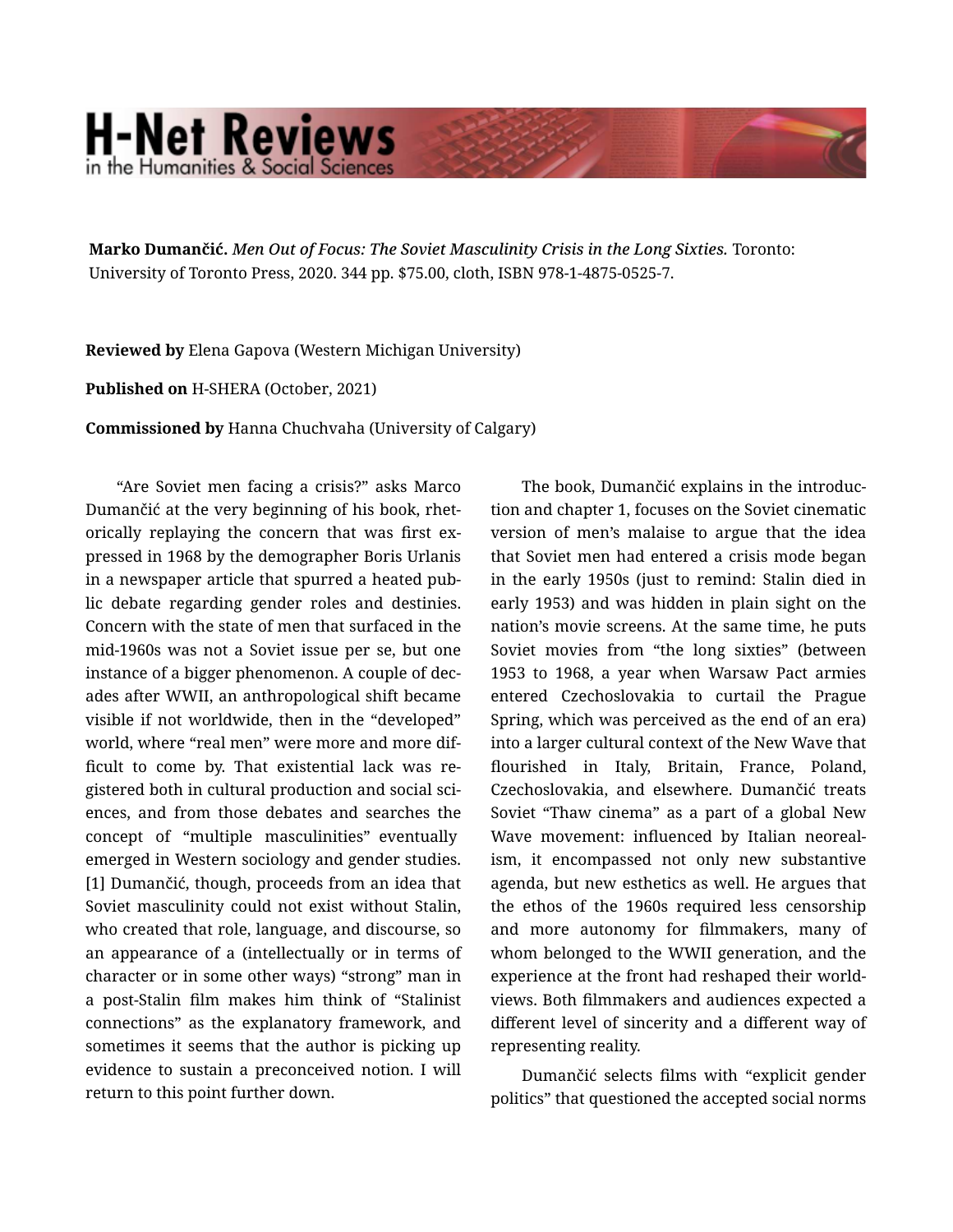## **H-Net Reviews** in the Humanities & Social Scienc

Marko Dumančić. *Men Out of Focus: The Soviet Masculinity Crisis in the Long Sixties.* Toronto: University of Toronto Press, 2020. 344 pp. \$75.00, cloth, ISBN 978-1-4875-0525-7.

Reviewed by Elena Gapova (Western Michigan University)

Published on H-SHERA (October, 2021)

Commissioned by Hanna Chuchvaha (University of Calgary)

"Are Soviet men facing a crisis?" asks Marco Dumančić at the very beginning of his book, rhet‐ orically replaying the concern that was first ex‐ pressed in 1968 by the demographer Boris Urlanis in a newspaper article that spurred a heated pub‐ lic debate regarding gender roles and destinies. Concern with the state of men that surfaced in the mid-1960s was not a Soviet issue per se, but one instance of a bigger phenomenon. A couple of dec‐ ades after WWII, an anthropological shift became visible if not worldwide, then in the "developed" world, where "real men" were more and more dif‐ ficult to come by. That existential lack was re‐ gistered both in cultural production and social sci‐ ences, and from those debates and searches the concept of "multiple masculinities" eventually emerged in Western sociology and gender studies. [1] Dumančić, though, proceeds from an idea that Soviet masculinity could not exist without Stalin, who created that role, language, and discourse, so an appearance of a (intellectually or in terms of character or in some other ways) "strong" man in a post-Stalin film makes him think of "Stalinist connections" as the explanatory framework, and sometimes it seems that the author is picking up evidence to sustain a preconceived notion. I will return to this point further down.

The book, Dumančić explains in the introduc‐ tion and chapter 1, focuses on the Soviet cinematic version of men's malaise to argue that the idea that Soviet men had entered a crisis mode began in the early 1950s (just to remind: Stalin died in early 1953) and was hidden in plain sight on the nation's movie screens. At the same time, he puts Soviet movies from "the long sixties" (between 1953 to 1968, a year when Warsaw Pact armies entered Czechoslovakia to curtail the Prague Spring, which was perceived as the end of an era) into a larger cultural context of the New Wave that flourished in Italy, Britain, France, Poland, Czechoslovakia, and elsewhere. Dumančić treats Soviet "Thaw cinema" as a part of a global New Wave movement: influenced by Italian neoreal‐ ism, it encompassed not only new substantive agenda, but new esthetics as well. He argues that the ethos of the 1960s required less censorship and more autonomy for filmmakers, many of whom belonged to the WWII generation, and the experience at the front had reshaped their world‐ views. Both filmmakers and audiences expected a different level of sincerity and a different way of representing reality.

Dumančić selects films with "explicit gender politics" that questioned the accepted social norms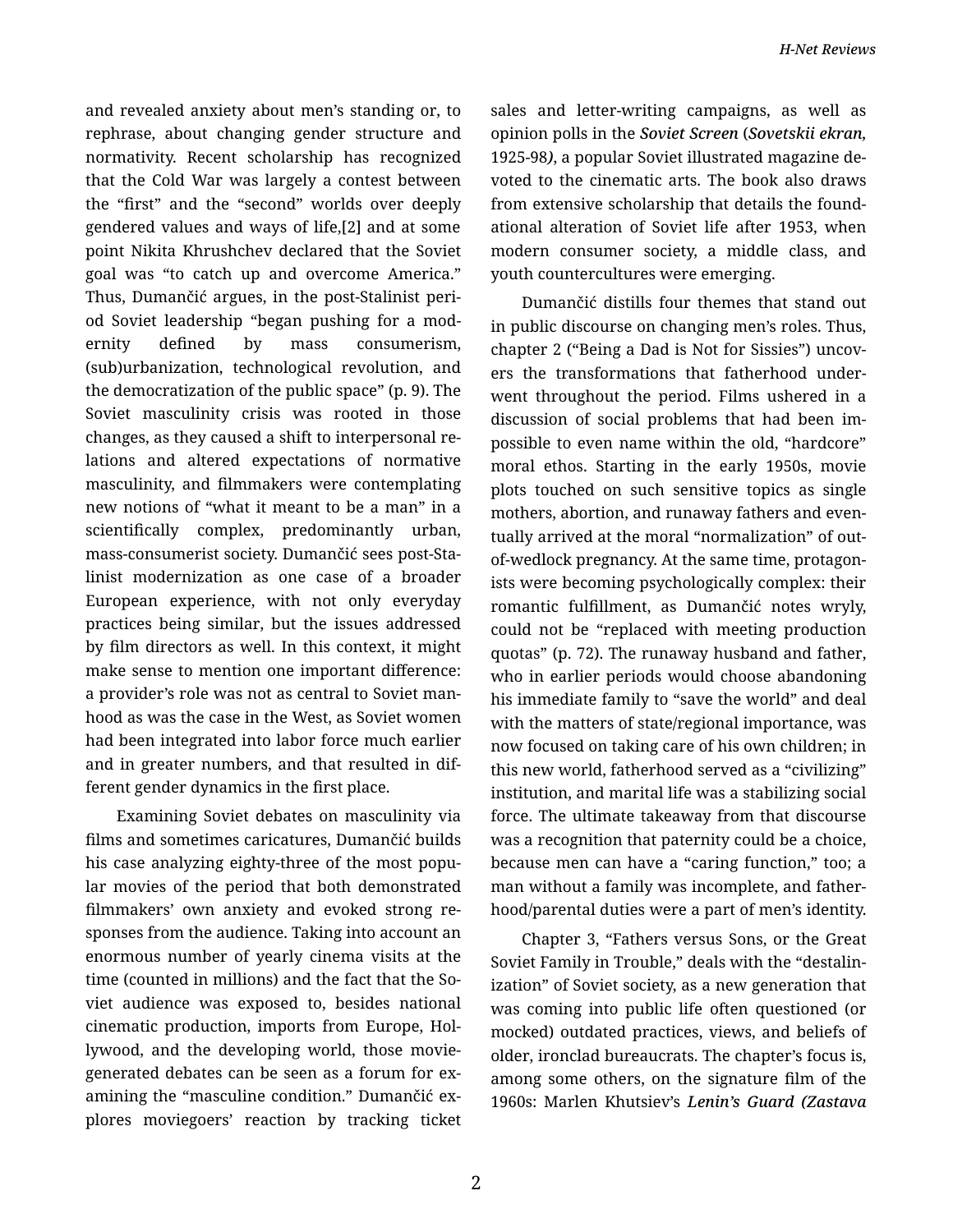and revealed anxiety about men's standing or, to rephrase, about changing gender structure and normativity. Recent scholarship has recognized that the Cold War was largely a contest between the "first" and the "second" worlds over deeply gendered values and ways of life,[2] and at some point Nikita Khrushchev declared that the Soviet goal was "to catch up and overcome America." Thus, Dumančić argues, in the post-Stalinist peri‐ od Soviet leadership "began pushing for a mod‐ ernity defined by mass consumerism, (sub)urbanization, technological revolution, and the democratization of the public space" (p. 9). The Soviet masculinity crisis was rooted in those changes, as they caused a shift to interpersonal re‐ lations and altered expectations of normative masculinity, and filmmakers were contemplating new notions of "what it meant to be a man" in a scientifically complex, predominantly urban, mass-consumerist society. Dumančić sees post-Sta‐ linist modernization as one case of a broader European experience, with not only everyday practices being similar, but the issues addressed by film directors as well. In this context, it might make sense to mention one important difference: a provider's role was not as central to Soviet man‐ hood as was the case in the West, as Soviet women had been integrated into labor force much earlier and in greater numbers, and that resulted in dif‐ ferent gender dynamics in the first place.

Examining Soviet debates on masculinity via films and sometimes caricatures, Dumančić builds his case analyzing eighty-three of the most popu‐ lar movies of the period that both demonstrated filmmakers' own anxiety and evoked strong re‐ sponses from the audience. Taking into account an enormous number of yearly cinema visits at the time (counted in millions) and the fact that the So‐ viet audience was exposed to, besides national cinematic production, imports from Europe, Hol‐ lywood, and the developing world, those moviegenerated debates can be seen as a forum for ex‐ amining the "masculine condition." Dumančić ex‐ plores moviegoers' reaction by tracking ticket

sales and letter-writing campaigns, as well as opinion polls in the *Soviet Screen* (*Sovetskii ekran,* 1925-98*)*, a popular Soviet illustrated magazine de‐ voted to the cinematic arts. The book also draws from extensive scholarship that details the found‐ ational alteration of Soviet life after 1953, when modern consumer society, a middle class, and youth countercultures were emerging.

Dumančić distills four themes that stand out in public discourse on changing men's roles. Thus, chapter 2 ("Being a Dad is Not for Sissies") uncov‐ ers the transformations that fatherhood under‐ went throughout the period. Films ushered in a discussion of social problems that had been im‐ possible to even name within the old, "hardcore" moral ethos. Starting in the early 1950s, movie plots touched on such sensitive topics as single mothers, abortion, and runaway fathers and even‐ tually arrived at the moral "normalization" of outof-wedlock pregnancy. At the same time, protagon‐ ists were becoming psychologically complex: their romantic fulfillment, as Dumančić notes wryly, could not be "replaced with meeting production quotas" (p. 72). The runaway husband and father, who in earlier periods would choose abandoning his immediate family to "save the world" and deal with the matters of state/regional importance, was now focused on taking care of his own children; in this new world, fatherhood served as a "civilizing" institution, and marital life was a stabilizing social force. The ultimate takeaway from that discourse was a recognition that paternity could be a choice, because men can have a "caring function," too; a man without a family was incomplete, and father‐ hood/parental duties were a part of men's identity.

Chapter 3, "Fathers versus Sons, or the Great Soviet Family in Trouble," deals with the "destalin‐ ization" of Soviet society, as a new generation that was coming into public life often questioned (or mocked) outdated practices, views, and beliefs of older, ironclad bureaucrats. The chapter's focus is, among some others, on the signature film of the 1960s: Marlen Khutsiev's *Lenin's Guard (Zastava*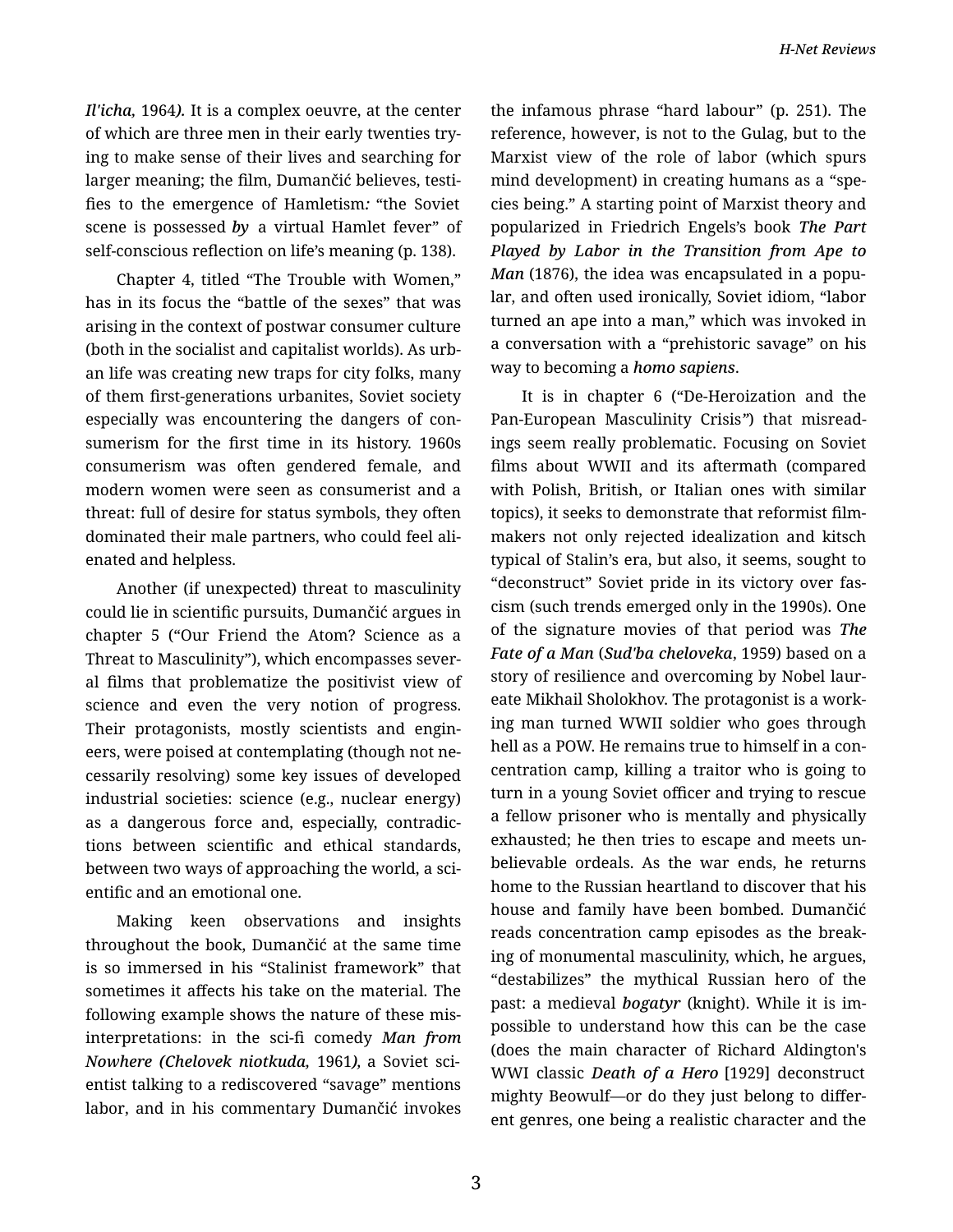*Il'icha,* 1964*).* It is a complex oeuvre, at the center of which are three men in their early twenties try‐ ing to make sense of their lives and searching for larger meaning; the film, Dumančić believes, testi‐ fies to the emergence of Hamletism*:* "the Soviet scene is possessed *by* a virtual Hamlet fever" of self-conscious reflection on life's meaning (p. 138).

Chapter 4, titled "The Trouble with Women," has in its focus the "battle of the sexes" that was arising in the context of postwar consumer culture (both in the socialist and capitalist worlds). As urb‐ an life was creating new traps for city folks, many of them first-generations urbanites, Soviet society especially was encountering the dangers of con‐ sumerism for the first time in its history. 1960s consumerism was often gendered female, and modern women were seen as consumerist and a threat: full of desire for status symbols, they often dominated their male partners, who could feel ali‐ enated and helpless.

Another (if unexpected) threat to masculinity could lie in scientific pursuits, Dumančić argues in chapter 5 ("Our Friend the Atom? Science as a Threat to Masculinity"), which encompasses sever‐ al films that problematize the positivist view of science and even the very notion of progress. Their protagonists, mostly scientists and engin‐ eers, were poised at contemplating (though not ne‐ cessarily resolving) some key issues of developed industrial societies: science (e.g., nuclear energy) as a dangerous force and, especially, contradic‐ tions between scientific and ethical standards, between two ways of approaching the world, a sci‐ entific and an emotional one.

Making keen observations and insights throughout the book, Dumančić at the same time is so immersed in his "Stalinist framework" that sometimes it affects his take on the material. The following example shows the nature of these misinterpretations: in the sci-fi comedy *Man from Nowhere (Chelovek niotkuda,* 1961*),* a Soviet sci‐ entist talking to a rediscovered "savage" mentions labor, and in his commentary Dumančić invokes

the infamous phrase "hard labour" (p. 251). The reference, however, is not to the Gulag, but to the Marxist view of the role of labor (which spurs mind development) in creating humans as a "spe‐ cies being." A starting point of Marxist theory and popularized in Friedrich Engels's book *The Part Played by Labor in the Transition from Ape to Man* (1876), the idea was encapsulated in a popular, and often used ironically, Soviet idiom, "labor turned an ape into a man," which was invoked in a conversation with a "prehistoric savage" on his way to becoming a *homo sapiens*.

It is in chapter 6 ("De-Heroization and the Pan-European Masculinity Crisis*"*) that misread‐ ings seem really problematic. Focusing on Soviet films about WWII and its aftermath (compared with Polish, British, or Italian ones with similar topics), it seeks to demonstrate that reformist film‐ makers not only rejected idealization and kitsch typical of Stalin's era, but also, it seems, sought to "deconstruct" Soviet pride in its victory over fas‐ cism (such trends emerged only in the 1990s). One of the signature movies of that period was *The Fate of a Man* (*Sud'ba cheloveka*, 1959) based on a story of resilience and overcoming by Nobel laur‐ eate Mikhail Sholokhov. The protagonist is a work‐ ing man turned WWII soldier who goes through hell as a POW. He remains true to himself in a con‐ centration camp, killing a traitor who is going to turn in a young Soviet officer and trying to rescue a fellow prisoner who is mentally and physically exhausted; he then tries to escape and meets un‐ believable ordeals. As the war ends, he returns home to the Russian heartland to discover that his house and family have been bombed. Dumančić reads concentration camp episodes as the break‐ ing of monumental masculinity, which, he argues, "destabilizes" the mythical Russian hero of the past: a medieval *bogatyr* (knight). While it is im‐ possible to understand how this can be the case (does the main character of Richard Aldington's WWI classic *Death of a Hero* [1929] deconstruct mighty Beowulf—or do they just belong to differ‐ ent genres, one being a realistic character and the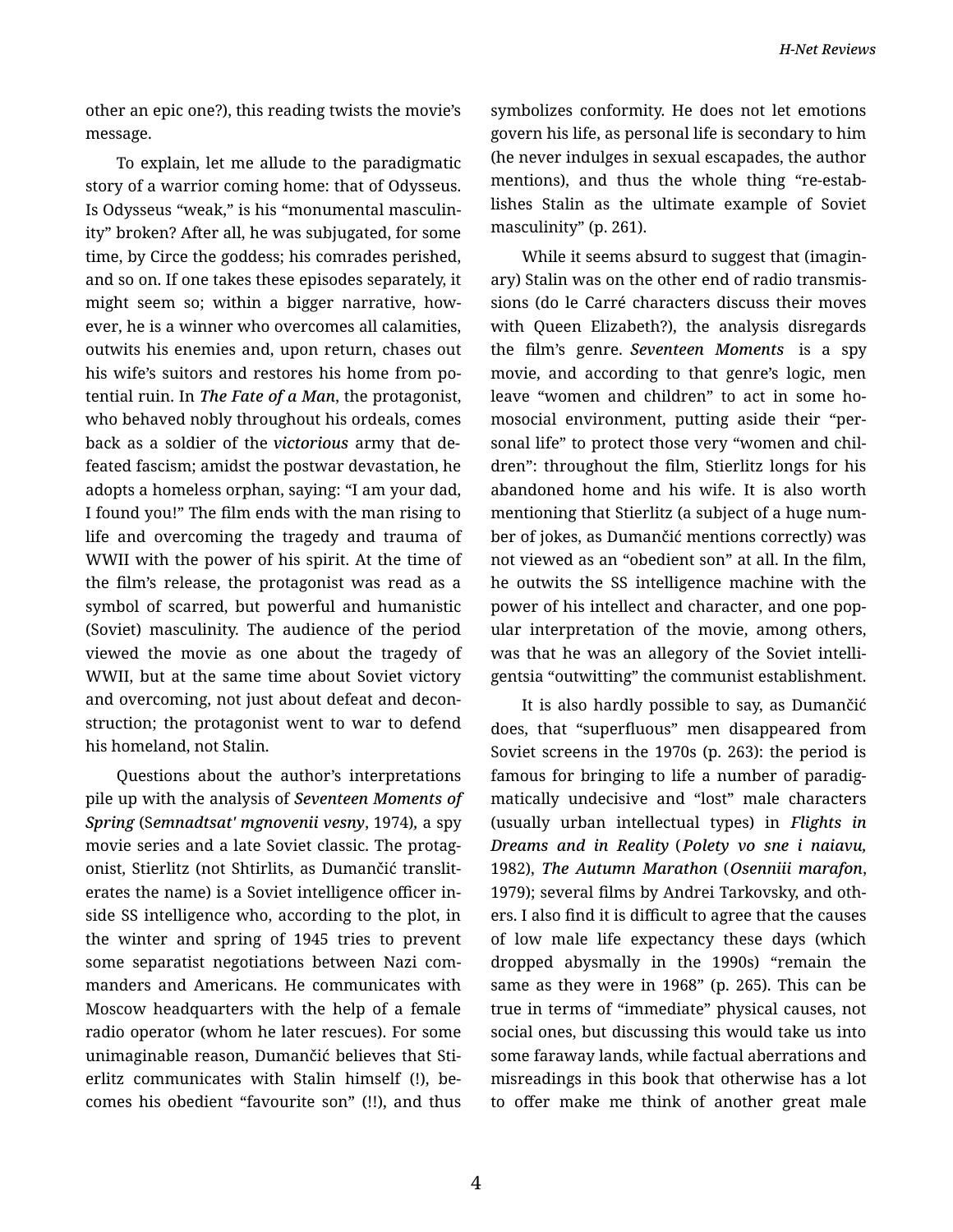*H-Net Reviews*

other an epic one?), this reading twists the movie's message.

To explain, let me allude to the paradigmatic story of a warrior coming home: that of Odysseus. Is Odysseus "weak," is his "monumental masculin‐ ity" broken? After all, he was subjugated, for some time, by Circe the goddess; his comrades perished, and so on. If one takes these episodes separately, it might seem so; within a bigger narrative, how‐ ever, he is a winner who overcomes all calamities, outwits his enemies and, upon return, chases out his wife's suitors and restores his home from po‐ tential ruin. In *The Fate of a Man*, the protagonist, who behaved nobly throughout his ordeals, comes back as a soldier of the *victorious* army that de‐ feated fascism; amidst the postwar devastation, he adopts a homeless orphan, saying: "I am your dad, I found you!" The film ends with the man rising to life and overcoming the tragedy and trauma of WWII with the power of his spirit. At the time of the film's release, the protagonist was read as a symbol of scarred, but powerful and humanistic (Soviet) masculinity. The audience of the period viewed the movie as one about the tragedy of WWII, but at the same time about Soviet victory and overcoming, not just about defeat and decon‐ struction; the protagonist went to war to defend his homeland, not Stalin.

Questions about the author's interpretations pile up with the analysis of *Seventeen Moments of Spring* (S*emnadtsat' mgnovenii vesny*, 1974)*,* a spy movie series and a late Soviet classic. The protag‐ onist, Stierlitz (not Shtirlits, as Dumančić translit‐ erates the name) is a Soviet intelligence officer in‐ side SS intelligence who, according to the plot, in the winter and spring of 1945 tries to prevent some separatist negotiations between Nazi com‐ manders and Americans. He communicates with Moscow headquarters with the help of a female radio operator (whom he later rescues). For some unimaginable reason, Dumančić believes that Sti‐ erlitz communicates with Stalin himself (!), be‐ comes his obedient "favourite son" (!!), and thus

symbolizes conformity. He does not let emotions govern his life, as personal life is secondary to him (he never indulges in sexual escapades, the author mentions), and thus the whole thing "re-establishes Stalin as the ultimate example of Soviet masculinity" (p. 261).

While it seems absurd to suggest that (imagin‐ ary) Stalin was on the other end of radio transmis‐ sions (do le Carré characters discuss their moves with Queen Elizabeth?), the analysis disregards the film's genre. *Seventeen Moments* is a spy movie, and according to that genre's logic, men leave "women and children" to act in some ho‐ mosocial environment, putting aside their "per‐ sonal life" to protect those very "women and chil‐ dren": throughout the film, Stierlitz longs for his abandoned home and his wife. It is also worth mentioning that Stierlitz (a subject of a huge num‐ ber of jokes, as Dumančić mentions correctly) was not viewed as an "obedient son" at all. In the film, he outwits the SS intelligence machine with the power of his intellect and character, and one pop‐ ular interpretation of the movie, among others, was that he was an allegory of the Soviet intelli‐ gentsia "outwitting" the communist establishment.

It is also hardly possible to say, as Dumančić does, that "superfluous" men disappeared from Soviet screens in the 1970s (p. 263): the period is famous for bringing to life a number of paradig‐ matically undecisive and "lost" male characters (usually urban intellectual types) in *Flights in Dreams and in Reality* (*Polety vo sne i naiavu,* 1982), *The Autumn Marathon* (*Osenniii marafon*, 1979); several films by Andrei Tarkovsky, and oth‐ ers. I also find it is difficult to agree that the causes of low male life expectancy these days (which dropped abysmally in the 1990s) "remain the same as they were in 1968" (p. 265). This can be true in terms of "immediate" physical causes, not social ones, but discussing this would take us into some faraway lands, while factual aberrations and misreadings in this book that otherwise has a lot to offer make me think of another great male